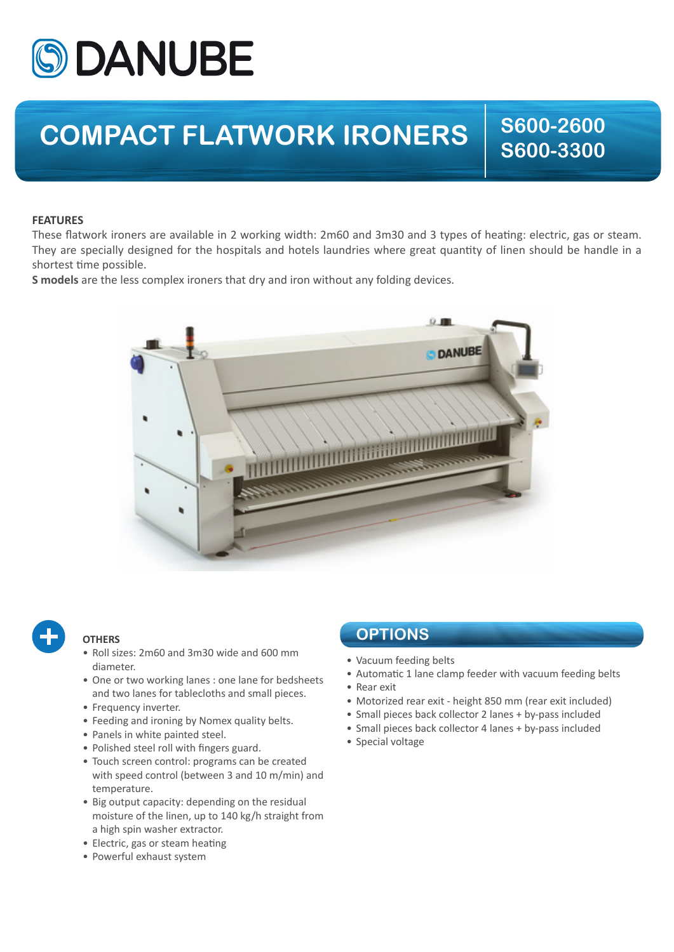

## **COMPACT FLATWORK IRONERS**  $\begin{array}{|c|c|c|c|}\hline \text{S600-2600} \end{array}$

**S600-3300**

## **FEATURES**

These flatwork ironers are available in 2 working width: 2m60 and 3m30 and 3 types of heating: electric, gas or steam. They are specially designed for the hospitals and hotels laundries where great quantity of linen should be handle in a shortest time possible.

**S models** are the less complex ironers that dry and iron without any folding devices.





## **OTHERS**

- Roll sizes: 2m60 and 3m30 wide and 600 mm diameter.
- One or two working lanes : one lane for bedsheets and two lanes for tablecloths and small pieces.
- Frequency inverter.
- Feeding and ironing by Nomex quality belts.
- Panels in white painted steel.
- Polished steel roll with fingers guard.
- Touch screen control: programs can be created with speed control (between 3 and 10 m/min) and temperature.
- Big output capacity: depending on the residual moisture of the linen, up to 140 kg/h straight from a high spin washer extractor.
- Electric, gas or steam heating
- Powerful exhaust system

## **OPTIONS**

- Vacuum feeding belts
- Automatic 1 lane clamp feeder with vacuum feeding belts
- Rear exit
- Motorized rear exit height 850 mm (rear exit included)
- Small pieces back collector 2 lanes + by-pass included
- Small pieces back collector 4 lanes + by-pass included
- Special voltage